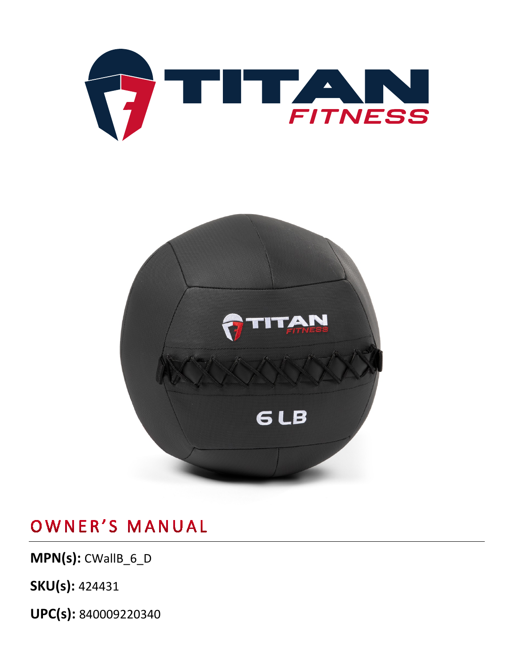



**MPN(s):** CWallB\_6\_D

**SKU(s):** 424431

**UPC(s):** 840009220340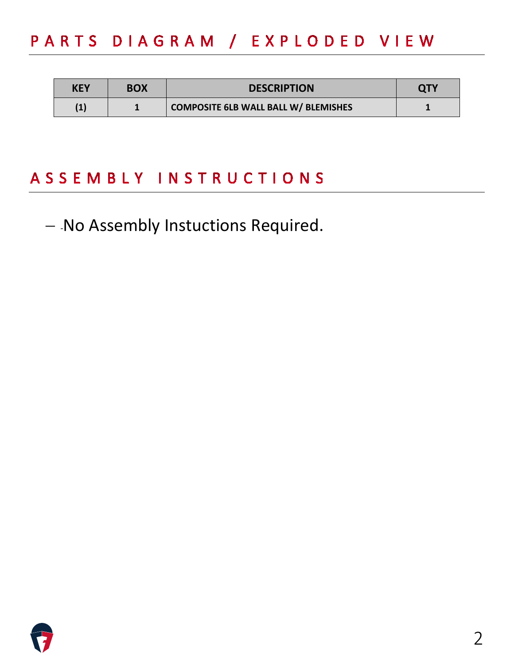# PARTS DIAGRAM / EXPLODED VIEW

| <b>KEY</b> | <b>BOX</b> | <b>DESCRIPTION</b>                          | <b>QTY</b> |
|------------|------------|---------------------------------------------|------------|
| (1)        |            | <b>COMPOSITE 6LB WALL BALL W/ BLEMISHES</b> |            |

# ASSEMBLY INSTRUCTIONS

− -No Assembly Instuctions Required.